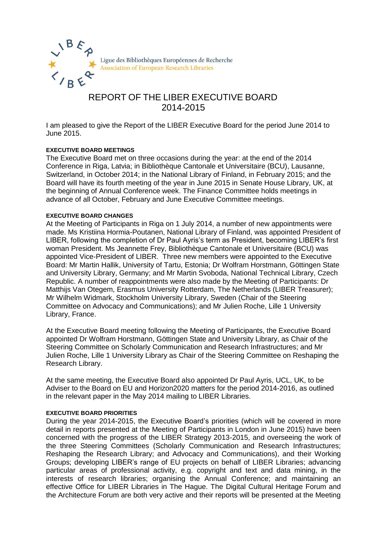

# REPORT OF THE LIBER EXECUTIVE BOARD 2014-2015

I am pleased to give the Report of the LIBER Executive Board for the period June 2014 to June 2015.

## **EXECUTIVE BOARD MEETINGS**

The Executive Board met on three occasions during the year: at the end of the 2014 Conference in Riga, Latvia; in Bibliothèque Cantonale et Universitaire (BCU), Lausanne, Switzerland, in October 2014; in the National Library of Finland, in February 2015; and the Board will have its fourth meeting of the year in June 2015 in Senate House Library, UK, at the beginning of Annual Conference week. The Finance Committee holds meetings in advance of all October, February and June Executive Committee meetings.

## **EXECUTIVE BOARD CHANGES**

At the Meeting of Participants in Riga on 1 July 2014, a number of new appointments were made. Ms Kristiina Hormia-Poutanen, National Library of Finland, was appointed President of LIBER, following the completion of Dr Paul Ayris's term as President, becoming LIBER's first woman President. Ms Jeannette Frey, Bibliothèque Cantonale et Universitaire (BCU) was appointed Vice-President of LIBER. Three new members were appointed to the Executive Board: Mr Martin Hallik, University of Tartu, Estonia; Dr Wolfram Horstmann, Göttingen State and University Library, Germany; and Mr Martin Svoboda, National Technical Library, Czech Republic. A number of reappointments were also made by the Meeting of Participants: Dr Matthijs Van Otegem, Erasmus University Rotterdam, The Netherlands (LIBER Treasurer); Mr Wilhelm Widmark, Stockholm University Library, Sweden (Chair of the Steering Committee on Advocacy and Communications); and Mr Julien Roche, Lille 1 University Library, France.

At the Executive Board meeting following the Meeting of Participants, the Executive Board appointed Dr Wolfram Horstmann, Göttingen State and University Library, as Chair of the Steering Committee on Scholarly Communication and Research Infrastructures; and Mr Julien Roche, Lille 1 University Library as Chair of the Steering Committee on Reshaping the Research Library.

At the same meeting, the Executive Board also appointed Dr Paul Ayris, UCL, UK, to be Adviser to the Board on EU and Horizon2020 matters for the period 2014-2016, as outlined in the relevant paper in the May 2014 mailing to LIBER Libraries.

### **EXECUTIVE BOARD PRIORITIES**

During the year 2014-2015, the Executive Board's priorities (which will be covered in more detail in reports presented at the Meeting of Participants in London in June 2015) have been concerned with the progress of the LIBER Strategy 2013-2015, and overseeing the work of the three Steering Committees (Scholarly Communication and Research Infrastructures; Reshaping the Research Library; and Advocacy and Communications), and their Working Groups; developing LIBER's range of EU projects on behalf of LIBER Libraries; advancing particular areas of professional activity, e.g. copyright and text and data mining, in the interests of research libraries; organising the Annual Conference; and maintaining an effective Office for LIBER Libraries in The Hague. The Digital Cultural Heritage Forum and the Architecture Forum are both very active and their reports will be presented at the Meeting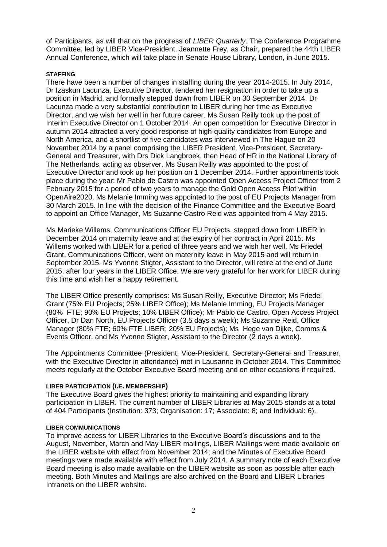of Participants, as will that on the progress of *LIBER Quarterly*. The Conference Programme Committee, led by LIBER Vice-President, Jeannette Frey, as Chair, prepared the 44th LIBER Annual Conference, which will take place in Senate House Library, London, in June 2015.

## **STAFFING**

There have been a number of changes in staffing during the year 2014-2015. In July 2014, Dr Izaskun Lacunza, Executive Director, tendered her resignation in order to take up a position in Madrid, and formally stepped down from LIBER on 30 September 2014. Dr Lacunza made a very substantial contribution to LIBER during her time as Executive Director, and we wish her well in her future career. Ms Susan Reilly took up the post of Interim Executive Director on 1 October 2014. An open competition for Executive Director in autumn 2014 attracted a very good response of high-quality candidates from Europe and North America, and a shortlist of five candidates was interviewed in The Hague on 20 November 2014 by a panel comprising the LIBER President, Vice-President, Secretary-General and Treasurer, with Drs Dick Langbroek, then Head of HR in the National Library of The Netherlands, acting as observer. Ms Susan Reilly was appointed to the post of Executive Director and took up her position on 1 December 2014. Further appointments took place during the year: Mr Pablo de Castro was appointed Open Access Project Officer from 2 February 2015 for a period of two years to manage the Gold Open Access Pilot within OpenAire2020. Ms Melanie Imming was appointed to the post of EU Projects Manager from 30 March 2015. In line with the decision of the Finance Committee and the Executive Board to appoint an Office Manager, Ms Suzanne Castro Reid was appointed from 4 May 2015.

Ms Marieke Willems, Communications Officer EU Projects, stepped down from LIBER in December 2014 on maternity leave and at the expiry of her contract in April 2015. Ms Willems worked with LIBER for a period of three years and we wish her well. Ms Friedel Grant, Communications Officer, went on maternity leave in May 2015 and will return in September 2015. Ms Yvonne Stigter, Assistant to the Director, will retire at the end of June 2015, after four years in the LIBER Office. We are very grateful for her work for LIBER during this time and wish her a happy retirement.

The LIBER Office presently comprises: Ms Susan Reilly, Executive Director; Ms Friedel Grant (75% EU Projects; 25% LIBER Office); Ms Melanie Imming, EU Projects Manager (80% FTE; 90% EU Projects; 10% LIBER Office); Mr Pablo de Castro, Open Access Project Officer, Dr Dan North, EU Projects Officer (3.5 days a week); Ms Suzanne Reid, Office Manager (80% FTE; 60% FTE LIBER; 20% EU Projects); Ms Hege van Dijke, Comms & Events Officer, and Ms Yvonne Stigter, Assistant to the Director (2 days a week).

The Appointments Committee (President, Vice-President, Secretary-General and Treasurer, with the Executive Director in attendance) met in Lausanne in October 2014. This Committee meets regularly at the October Executive Board meeting and on other occasions if required.

### **LIBER PARTICIPATION (I.E. MEMBERSHIP)**

The Executive Board gives the highest priority to maintaining and expanding library participation in LIBER. The current number of LIBER Libraries at May 2015 stands at a total of 404 Participants (Institution: 373; Organisation: 17; Associate: 8; and Individual: 6).

### **LIBER COMMUNICATIONS**

To improve access for LIBER Libraries to the Executive Board's discussions and to the August, November, March and May LIBER mailings, LIBER Mailings were made available on the LIBER website with effect from November 2014; and the Minutes of Executive Board meetings were made available with effect from July 2014. A summary note of each Executive Board meeting is also made available on the LIBER website as soon as possible after each meeting. Both Minutes and Mailings are also archived on the Board and LIBER Libraries Intranets on the LIBER website.